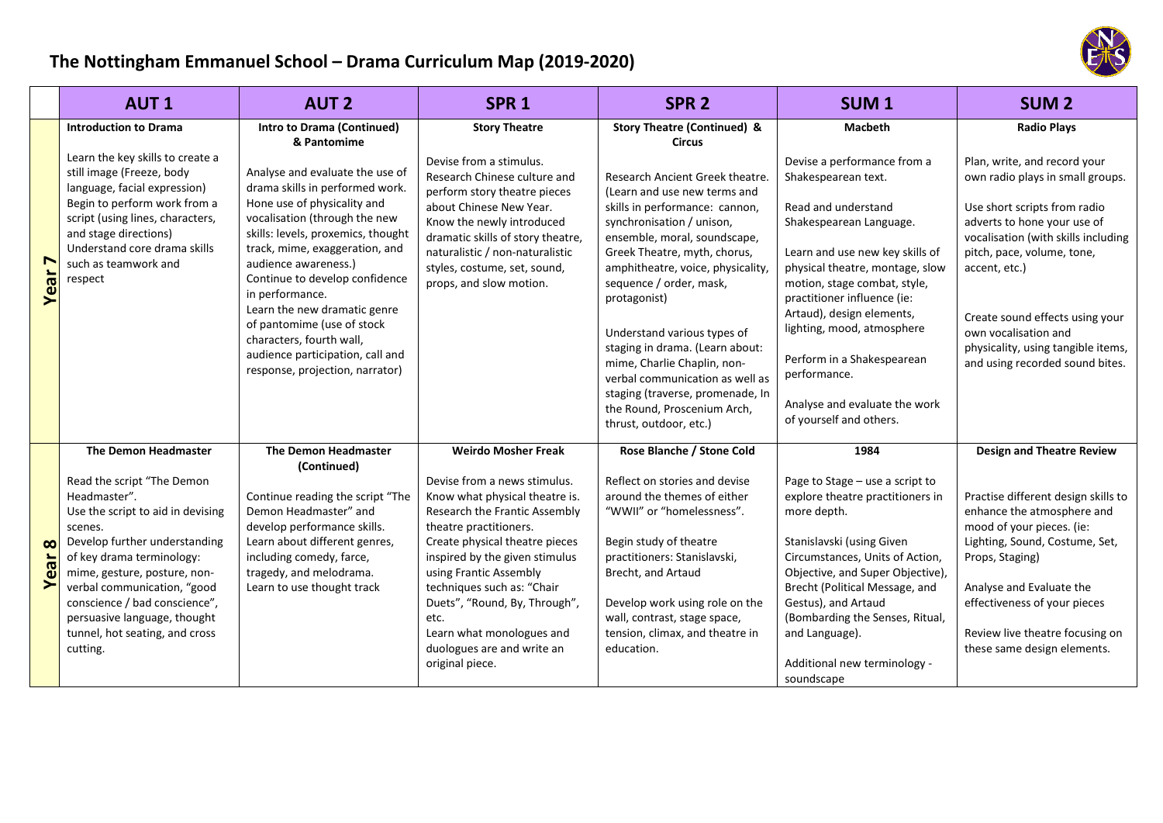

## **The Nottingham Emmanuel School – Drama Curriculum Map (2019-2020)**

|                  | <b>AUT1</b>                                                                                                                                                                                                                                                                                                                            | <b>AUT 2</b>                                                                                                                                                                                                                                                                                                                                                                                                                                             | SPR <sub>1</sub>                                                                                                                                                                                                                                                                                                                                                             | SPR <sub>2</sub>                                                                                                                                                                                                                                                                                                                                                                                                                                                                                                | SUM <sub>1</sub>                                                                                                                                                                                                                                                                                                                                                                                               | <b>SUM2</b>                                                                                                                                                                                                                                                                                                                                               |
|------------------|----------------------------------------------------------------------------------------------------------------------------------------------------------------------------------------------------------------------------------------------------------------------------------------------------------------------------------------|----------------------------------------------------------------------------------------------------------------------------------------------------------------------------------------------------------------------------------------------------------------------------------------------------------------------------------------------------------------------------------------------------------------------------------------------------------|------------------------------------------------------------------------------------------------------------------------------------------------------------------------------------------------------------------------------------------------------------------------------------------------------------------------------------------------------------------------------|-----------------------------------------------------------------------------------------------------------------------------------------------------------------------------------------------------------------------------------------------------------------------------------------------------------------------------------------------------------------------------------------------------------------------------------------------------------------------------------------------------------------|----------------------------------------------------------------------------------------------------------------------------------------------------------------------------------------------------------------------------------------------------------------------------------------------------------------------------------------------------------------------------------------------------------------|-----------------------------------------------------------------------------------------------------------------------------------------------------------------------------------------------------------------------------------------------------------------------------------------------------------------------------------------------------------|
|                  | <b>Introduction to Drama</b>                                                                                                                                                                                                                                                                                                           | <b>Intro to Drama (Continued)</b><br>& Pantomime                                                                                                                                                                                                                                                                                                                                                                                                         | <b>Story Theatre</b>                                                                                                                                                                                                                                                                                                                                                         | <b>Story Theatre (Continued) &amp;</b><br><b>Circus</b>                                                                                                                                                                                                                                                                                                                                                                                                                                                         | <b>Macbeth</b>                                                                                                                                                                                                                                                                                                                                                                                                 | <b>Radio Plays</b>                                                                                                                                                                                                                                                                                                                                        |
| r<br>Year        | Learn the key skills to create a<br>still image (Freeze, body<br>language, facial expression)<br>Begin to perform work from a<br>script (using lines, characters,<br>and stage directions)<br>Understand core drama skills<br>such as teamwork and<br>respect                                                                          | Analyse and evaluate the use of<br>drama skills in performed work.<br>Hone use of physicality and<br>vocalisation (through the new<br>skills: levels, proxemics, thought<br>track, mime, exaggeration, and<br>audience awareness.)<br>Continue to develop confidence<br>in performance.<br>Learn the new dramatic genre<br>of pantomime (use of stock<br>characters, fourth wall,<br>audience participation, call and<br>response, projection, narrator) | Devise from a stimulus.<br>Research Chinese culture and<br>perform story theatre pieces<br>about Chinese New Year.<br>Know the newly introduced<br>dramatic skills of story theatre,<br>naturalistic / non-naturalistic<br>styles, costume, set, sound,<br>props, and slow motion.                                                                                           | Research Ancient Greek theatre.<br>(Learn and use new terms and<br>skills in performance: cannon,<br>synchronisation / unison,<br>ensemble, moral, soundscape,<br>Greek Theatre, myth, chorus,<br>amphitheatre, voice, physicality,<br>sequence / order, mask,<br>protagonist)<br>Understand various types of<br>staging in drama. (Learn about:<br>mime, Charlie Chaplin, non-<br>verbal communication as well as<br>staging (traverse, promenade, In<br>the Round, Proscenium Arch,<br>thrust, outdoor, etc.) | Devise a performance from a<br>Shakespearean text.<br>Read and understand<br>Shakespearean Language.<br>Learn and use new key skills of<br>physical theatre, montage, slow<br>motion, stage combat, style,<br>practitioner influence (ie:<br>Artaud), design elements,<br>lighting, mood, atmosphere<br>Perform in a Shakespearean<br>performance.<br>Analyse and evaluate the work<br>of yourself and others. | Plan, write, and record your<br>own radio plays in small groups.<br>Use short scripts from radio<br>adverts to hone your use of<br>vocalisation (with skills including<br>pitch, pace, volume, tone,<br>accent, etc.)<br>Create sound effects using your<br>own vocalisation and<br>physicality, using tangible items,<br>and using recorded sound bites. |
|                  | <b>The Demon Headmaster</b>                                                                                                                                                                                                                                                                                                            | <b>The Demon Headmaster</b><br>(Continued)                                                                                                                                                                                                                                                                                                                                                                                                               | <b>Weirdo Mosher Freak</b>                                                                                                                                                                                                                                                                                                                                                   | Rose Blanche / Stone Cold                                                                                                                                                                                                                                                                                                                                                                                                                                                                                       | 1984                                                                                                                                                                                                                                                                                                                                                                                                           | <b>Design and Theatre Review</b>                                                                                                                                                                                                                                                                                                                          |
| $\infty$<br>Year | Read the script "The Demon<br>Headmaster".<br>Use the script to aid in devising<br>scenes.<br>Develop further understanding<br>of key drama terminology:<br>mime, gesture, posture, non-<br>verbal communication, "good<br>conscience / bad conscience",<br>persuasive language, thought<br>tunnel, hot seating, and cross<br>cutting. | Continue reading the script "The<br>Demon Headmaster" and<br>develop performance skills.<br>Learn about different genres,<br>including comedy, farce,<br>tragedy, and melodrama.<br>Learn to use thought track                                                                                                                                                                                                                                           | Devise from a news stimulus.<br>Know what physical theatre is.<br>Research the Frantic Assembly<br>theatre practitioners.<br>Create physical theatre pieces<br>inspired by the given stimulus<br>using Frantic Assembly<br>techniques such as: "Chair<br>Duets", "Round, By, Through",<br>etc.<br>Learn what monologues and<br>duologues are and write an<br>original piece. | Reflect on stories and devise<br>around the themes of either<br>"WWII" or "homelessness".<br>Begin study of theatre<br>practitioners: Stanislavski,<br>Brecht, and Artaud<br>Develop work using role on the<br>wall, contrast, stage space,<br>tension, climax, and theatre in<br>education.                                                                                                                                                                                                                    | Page to Stage - use a script to<br>explore theatre practitioners in<br>more depth.<br>Stanislavski (using Given<br>Circumstances, Units of Action,<br>Objective, and Super Objective),<br>Brecht (Political Message, and<br>Gestus), and Artaud<br>(Bombarding the Senses, Ritual,<br>and Language).<br>Additional new terminology -<br>soundscape                                                             | Practise different design skills to<br>enhance the atmosphere and<br>mood of your pieces. (ie:<br>Lighting, Sound, Costume, Set,<br>Props, Staging)<br>Analyse and Evaluate the<br>effectiveness of your pieces<br>Review live theatre focusing on<br>these same design elements.                                                                         |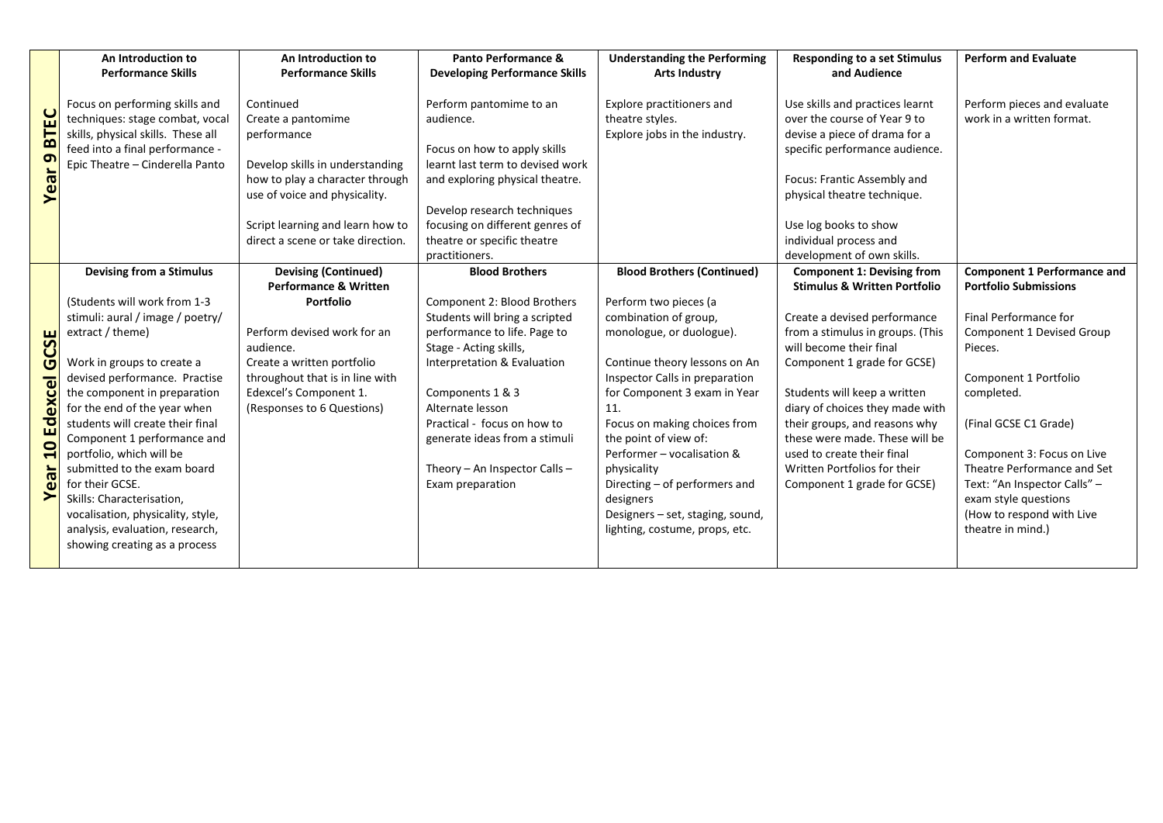|                                                        | An Introduction to                                                                                                                                                                                                                                                                                                                                                                                                                                                                                                                             | An Introduction to                                                                                                                                                                                                                                | Panto Performance &                                                                                                                                                                                                                                                                                                                          | <b>Understanding the Performing</b>                                                                                                                                                                                                                                                                                                                                                                                                                 | <b>Responding to a set Stimulus</b>                                                                                                                                                                                                                                                                                                                                                                                                           | <b>Perform and Evaluate</b>                                                                                                                                                                                                                                                                                                                                                |
|--------------------------------------------------------|------------------------------------------------------------------------------------------------------------------------------------------------------------------------------------------------------------------------------------------------------------------------------------------------------------------------------------------------------------------------------------------------------------------------------------------------------------------------------------------------------------------------------------------------|---------------------------------------------------------------------------------------------------------------------------------------------------------------------------------------------------------------------------------------------------|----------------------------------------------------------------------------------------------------------------------------------------------------------------------------------------------------------------------------------------------------------------------------------------------------------------------------------------------|-----------------------------------------------------------------------------------------------------------------------------------------------------------------------------------------------------------------------------------------------------------------------------------------------------------------------------------------------------------------------------------------------------------------------------------------------------|-----------------------------------------------------------------------------------------------------------------------------------------------------------------------------------------------------------------------------------------------------------------------------------------------------------------------------------------------------------------------------------------------------------------------------------------------|----------------------------------------------------------------------------------------------------------------------------------------------------------------------------------------------------------------------------------------------------------------------------------------------------------------------------------------------------------------------------|
|                                                        | <b>Performance Skills</b>                                                                                                                                                                                                                                                                                                                                                                                                                                                                                                                      | <b>Performance Skills</b>                                                                                                                                                                                                                         | <b>Developing Performance Skills</b>                                                                                                                                                                                                                                                                                                         | <b>Arts Industry</b>                                                                                                                                                                                                                                                                                                                                                                                                                                | and Audience                                                                                                                                                                                                                                                                                                                                                                                                                                  |                                                                                                                                                                                                                                                                                                                                                                            |
| <b>BTEC</b><br>$\sigma$<br><b>Year</b>                 | Focus on performing skills and<br>techniques: stage combat, vocal<br>skills, physical skills. These all<br>feed into a final performance -<br>Epic Theatre - Cinderella Panto                                                                                                                                                                                                                                                                                                                                                                  | Continued<br>Create a pantomime<br>performance<br>Develop skills in understanding<br>how to play a character through<br>use of voice and physicality.<br>Script learning and learn how to<br>direct a scene or take direction.                    | Perform pantomime to an<br>audience.<br>Focus on how to apply skills<br>learnt last term to devised work<br>and exploring physical theatre.<br>Develop research techniques<br>focusing on different genres of<br>theatre or specific theatre<br>practitioners.                                                                               | Explore practitioners and<br>theatre styles.<br>Explore jobs in the industry.                                                                                                                                                                                                                                                                                                                                                                       | Use skills and practices learnt<br>over the course of Year 9 to<br>devise a piece of drama for a<br>specific performance audience.<br>Focus: Frantic Assembly and<br>physical theatre technique.<br>Use log books to show<br>individual process and<br>development of own skills.                                                                                                                                                             | Perform pieces and evaluate<br>work in a written format.                                                                                                                                                                                                                                                                                                                   |
| GCSE<br>Edexcel<br>$\overline{\mathbf{C}}$<br>ear<br>⋝ | <b>Devising from a Stimulus</b><br>(Students will work from 1-3)<br>stimuli: aural / image / poetry/<br>extract / theme)<br>Work in groups to create a<br>devised performance. Practise<br>the component in preparation<br>for the end of the year when<br>students will create their final<br>Component 1 performance and<br>portfolio, which will be<br>submitted to the exam board<br>for their GCSE.<br>Skills: Characterisation,<br>vocalisation, physicality, style,<br>analysis, evaluation, research,<br>showing creating as a process | <b>Devising (Continued)</b><br><b>Performance &amp; Written</b><br>Portfolio<br>Perform devised work for an<br>audience.<br>Create a written portfolio<br>throughout that is in line with<br>Edexcel's Component 1.<br>(Responses to 6 Questions) | <b>Blood Brothers</b><br>Component 2: Blood Brothers<br>Students will bring a scripted<br>performance to life. Page to<br>Stage - Acting skills,<br>Interpretation & Evaluation<br>Components 1 & 3<br>Alternate lesson<br>Practical - focus on how to<br>generate ideas from a stimuli<br>Theory - An Inspector Calls -<br>Exam preparation | <b>Blood Brothers (Continued)</b><br>Perform two pieces (a<br>combination of group,<br>monologue, or duologue).<br>Continue theory lessons on An<br>Inspector Calls in preparation<br>for Component 3 exam in Year<br>11.<br>Focus on making choices from<br>the point of view of:<br>Performer - vocalisation &<br>physicality<br>Directing - of performers and<br>designers<br>Designers - set, staging, sound,<br>lighting, costume, props, etc. | <b>Component 1: Devising from</b><br><b>Stimulus &amp; Written Portfolio</b><br>Create a devised performance<br>from a stimulus in groups. (This<br>will become their final<br>Component 1 grade for GCSE)<br>Students will keep a written<br>diary of choices they made with<br>their groups, and reasons why<br>these were made. These will be<br>used to create their final<br>Written Portfolios for their<br>Component 1 grade for GCSE) | <b>Component 1 Performance and</b><br><b>Portfolio Submissions</b><br>Final Performance for<br>Component 1 Devised Group<br>Pieces.<br>Component 1 Portfolio<br>completed.<br>(Final GCSE C1 Grade)<br>Component 3: Focus on Live<br>Theatre Performance and Set<br>Text: "An Inspector Calls" -<br>exam style questions<br>(How to respond with Live<br>theatre in mind.) |